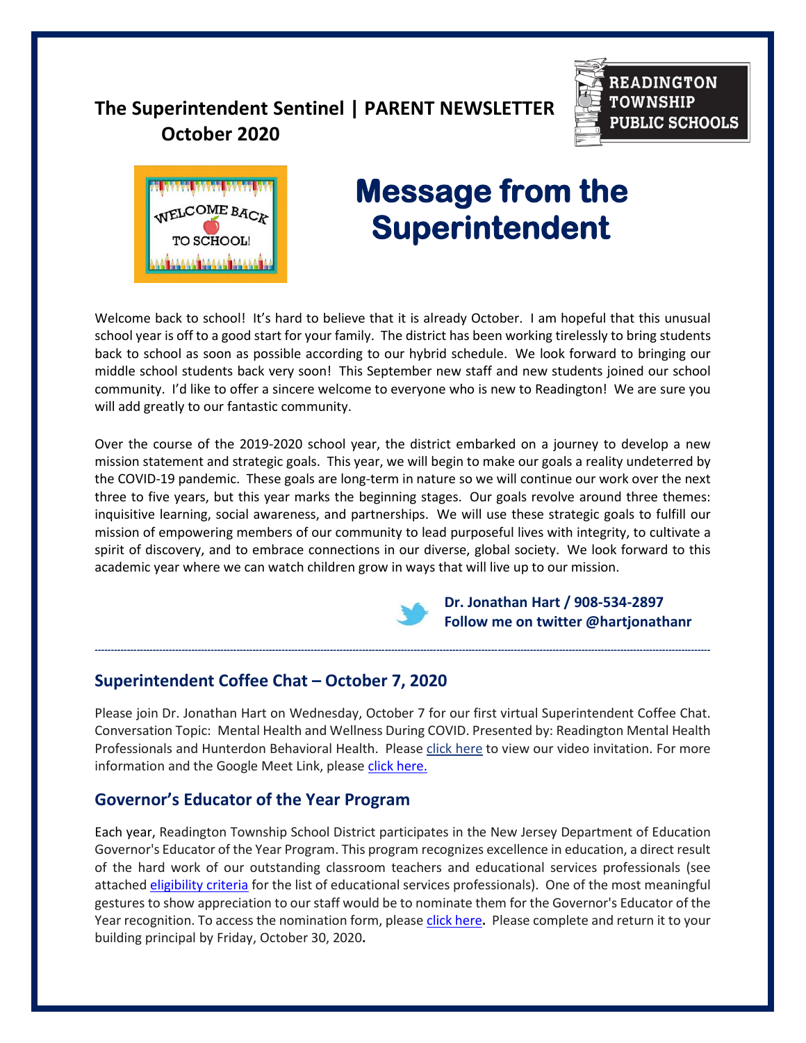# **The Superintendent Sentinel | PARENT NEWSLETTER October 2020**





# **Message from the Superintendent Superintendent**

Welcome back to school! It's hard to believe that it is already October. I am hopeful that this unusual school year is off to a good start for your family. The district has been working tirelessly to bring students back to school as soon as possible according to our hybrid schedule. We look forward to bringing our middle school students back very soon! This September new staff and new students joined our school community. I'd like to offer a sincere welcome to everyone who is new to Readington! We are sure you will add greatly to our fantastic community.

Over the course of the 2019-2020 school year, the district embarked on a journey to develop a new mission statement and strategic goals. This year, we will begin to make our goals a reality undeterred by the COVID-19 pandemic. These goals are long-term in nature so we will continue our work over the next three to five years, but this year marks the beginning stages. Our goals revolve around three themes: inquisitive learning, social awareness, and partnerships. We will use these strategic goals to fulfill our mission of empowering members of our community to lead purposeful lives with integrity, to cultivate a spirit of discovery, and to embrace connections in our diverse, global society. We look forward to this academic year where we can watch children grow in ways that will live up to our mission.



**-----------------------------------------------------------------------------------------------------------------------------------------------------------------------------------------------**

 **Dr. Jonathan Hart / 908-534-2897 Follow me on twitter @hartjonathanr** 

## **Superintendent Coffee Chat – October 7, 2020**

Please join Dr. Jonathan Hart on Wednesday, October 7 for our first virtual Superintendent Coffee Chat. Conversation Topic: Mental Health and Wellness During COVID. Presented by: Readington Mental Health Professionals and Hunterdon Behavioral Health. Please [click here](https://www.canva.com/design/DAEIivoyJdc/glTZIgr53zrwSov1_EAKxQ/watch?utm_content=DAEIivoyJdc&utm_campaign=designshare&utm_medium=link&utm_source=publishsharelink) to view our video invitation. For more information and the Google Meet Link, please [click here.](https://www.readington.k12.nj.us/cms/lib/NJ01000244/Centricity/Domain/26/Chat%20Invite%20-%20%20OCT%207%202020.pdf)

## **Governor's Educator of the Year Program**

Each year, Readington Township School District participates in the New Jersey Department of Education Governor's Educator of the Year Program. This program recognizes excellence in education, a direct result of the hard work of our outstanding classroom teachers and educational services professionals (see attached [eligibility criteria](https://www.readington.k12.nj.us/cms/lib/NJ01000244/Centricity/Domain/46/1%20GEOY%20Eligibility%20Criteria.pdf) for the list of educational services professionals). One of the most meaningful gestures to show appreciation to our staff would be to nominate them for the Governor's Educator of the Year recognition. To access the nomination form, please [click here](https://www.readington.k12.nj.us/cms/lib/NJ01000244/Centricity/Domain/46/2%20GEOY%20Nomination%20Form%202020-2021.pdf)**.** Please complete and return it to your building principal by Friday, October 30, 2020**.**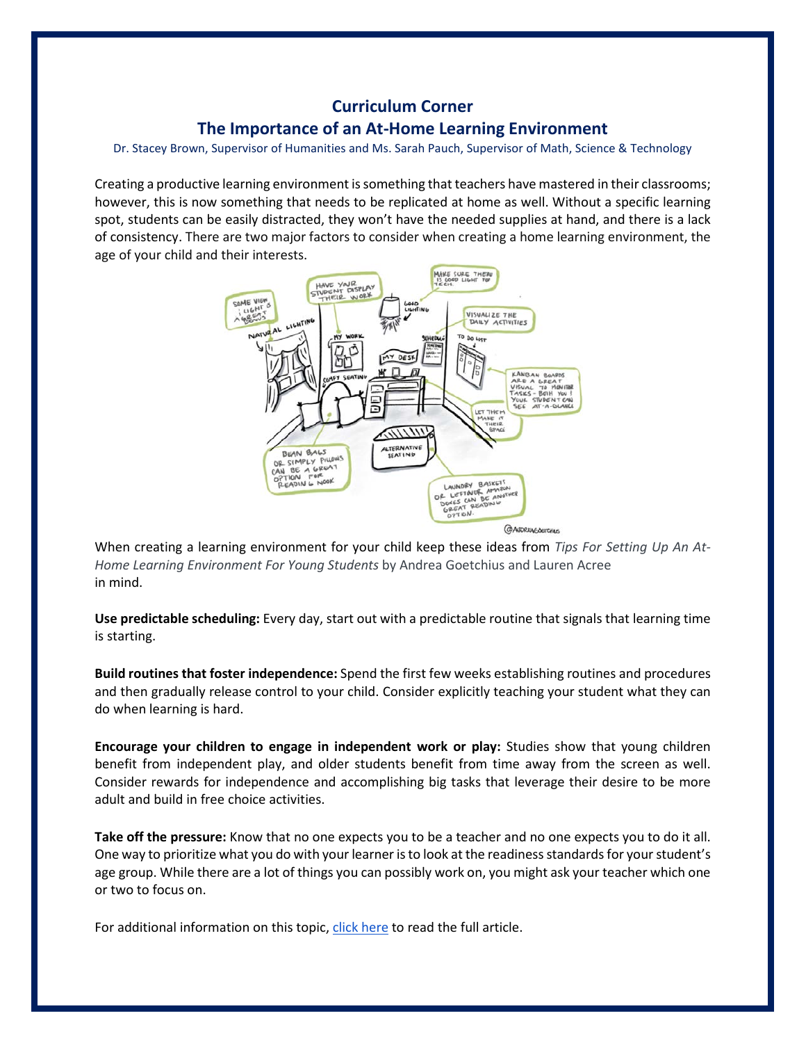## **Curriculum Corner The Importance of an At-Home Learning Environment**

Dr. Stacey Brown, Supervisor of Humanities and Ms. Sarah Pauch, Supervisor of Math, Science & Technology

Creating a productive learning environment is something that teachers have mastered in their classrooms; however, this is now something that needs to be replicated at home as well. Without a specific learning spot, students can be easily distracted, they won't have the needed supplies at hand, and there is a lack of consistency. There are two major factors to consider when creating a home learning environment, the age of your child and their interests.



When creating a learning environment for your child keep these ideas from *Tips For Setting Up An At-Home Learning Environment For Young Students* by Andrea Goetchius and Lauren Acree in mind.

**Use predictable scheduling:** Every day, start out with a predictable routine that signals that learning time is starting.

**Build routines that foster independence:** Spend the first few weeks establishing routines and procedures and then gradually release control to your child. Consider explicitly teaching your student what they can do when learning is hard.

**Encourage your children to engage in independent work or play:** Studies show that young children benefit from independent play, and older students benefit from time away from the screen as well. Consider rewards for independence and accomplishing big tasks that leverage their desire to be more adult and build in free choice activities.

**Take off the pressure:** Know that no one expects you to be a teacher and no one expects you to do it all. One way to prioritize what you do with your learner is to look at the readiness standards for your student's age group. While there are a lot of things you can possibly work on, you might ask your teacher which one or two to focus on.

For additional information on this topic, [click here](https://www.edelements.com/blog/tips-for-setting-up-an-at-home-learning-environment-for-young-students) to read the full article.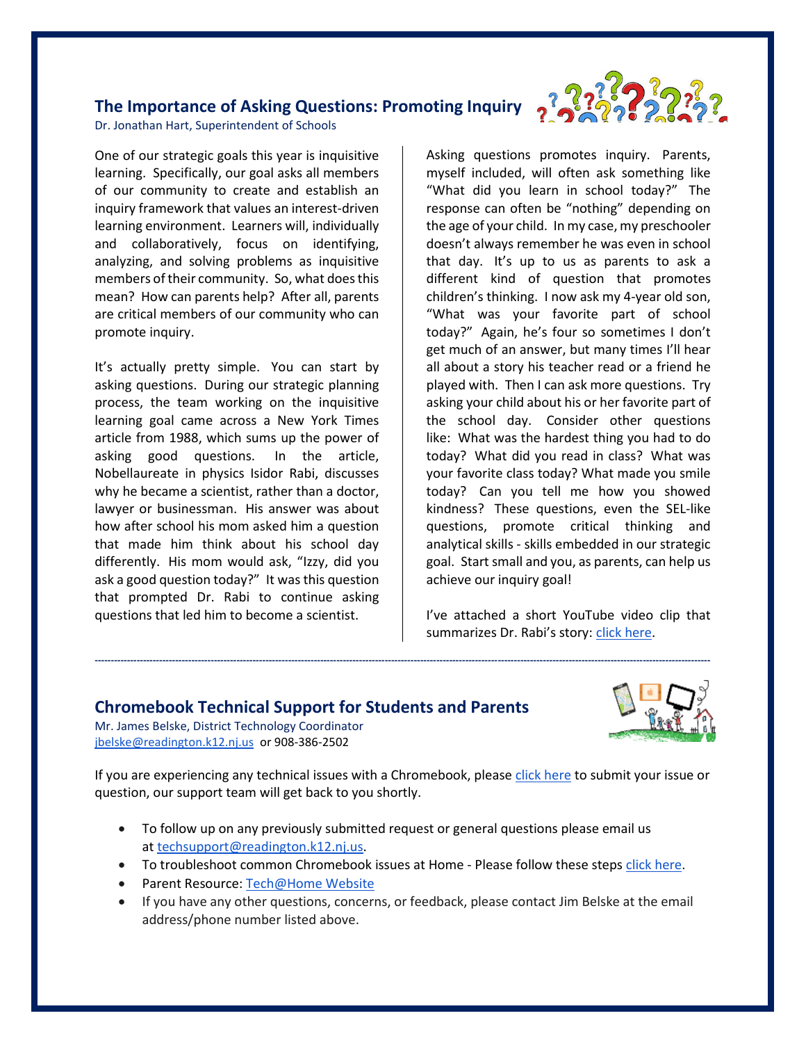# **The Importance of Asking Questions: Promoting Inquiry**



Dr. Jonathan Hart, Superintendent of Schools

One of our strategic goals this year is inquisitive learning. Specifically, our goal asks all members of our community to create and establish an inquiry framework that values an interest-driven learning environment. Learners will, individually and collaboratively, focus on identifying, analyzing, and solving problems as inquisitive members of their community. So, what does this mean? How can parents help? After all, parents are critical members of our community who can promote inquiry.

It's actually pretty simple. You can start by asking questions. During our strategic planning process, the team working on the inquisitive learning goal came across a New York Times article from 1988, which sums up the power of asking good questions. In the article, Nobellaureate in physics Isidor Rabi, discusses why he became a scientist, rather than a doctor, lawyer or businessman. His answer was about how after school his mom asked him a question that made him think about his school day differently. His mom would ask, "Izzy, did you ask a good question today?" It was this question that prompted Dr. Rabi to continue asking questions that led him to become a scientist.

Asking questions promotes inquiry. Parents, myself included, will often ask something like "What did you learn in school today?" The response can often be "nothing" depending on the age of your child. In my case, my preschooler doesn't always remember he was even in school that day. It's up to us as parents to ask a different kind of question that promotes children's thinking. I now ask my 4-year old son, "What was your favorite part of school today?" Again, he's four so sometimes I don't get much of an answer, but many times I'll hear all about a story his teacher read or a friend he played with. Then I can ask more questions. Try asking your child about his or her favorite part of the school day. Consider other questions like: What was the hardest thing you had to do today? What did you read in class? What was your favorite class today? What made you smile today? Can you tell me how you showed kindness? These questions, even the SEL-like questions, promote critical thinking and analytical skills - skills embedded in our strategic goal. Start small and you, as parents, can help us achieve our inquiry goal!

I've attached a short YouTube video clip that summarizes Dr. Rabi's story: [click here.](https://www.youtube.com/watch?v=1Q_oZf0C5m4&disable_polymer=true)

## **Chromebook Technical Support for Students and Parents**

Mr. James Belske, District Technology Coordinator [jbelske@readington.k12.nj.us](mailto:jbelske@readington.k12.nj.us) or 908-386-2502



If you are experiencing any technical issues with a Chromebook, please [click here](http://www.readington.k12.nj.us/techrequest) to submit your issue or question, our support team will get back to you shortly.

**-----------------------------------------------------------------------------------------------------------------------------------------------------------------------------------------------**

- To follow up on any previously submitted request or general questions please email us at [techsupport@readington.k12.nj.us.](mailto:techsupport@readington.k12.nj.us)
- To troubleshoot common Chromebook issues at Home Please follow these steps [click here.](https://docs.google.com/document/d/1iQIM1lqdRHTRLrVw1tq2nSdKuVkmJFTTNDrxyf7e-h8/edit)
- Parent Resource: [Tech@Home Website](https://sites.google.com/readington.k12.nj.us/techathome/home)
- If you have any other questions, concerns, or feedback, please contact Jim Belske at the email address/phone number listed above.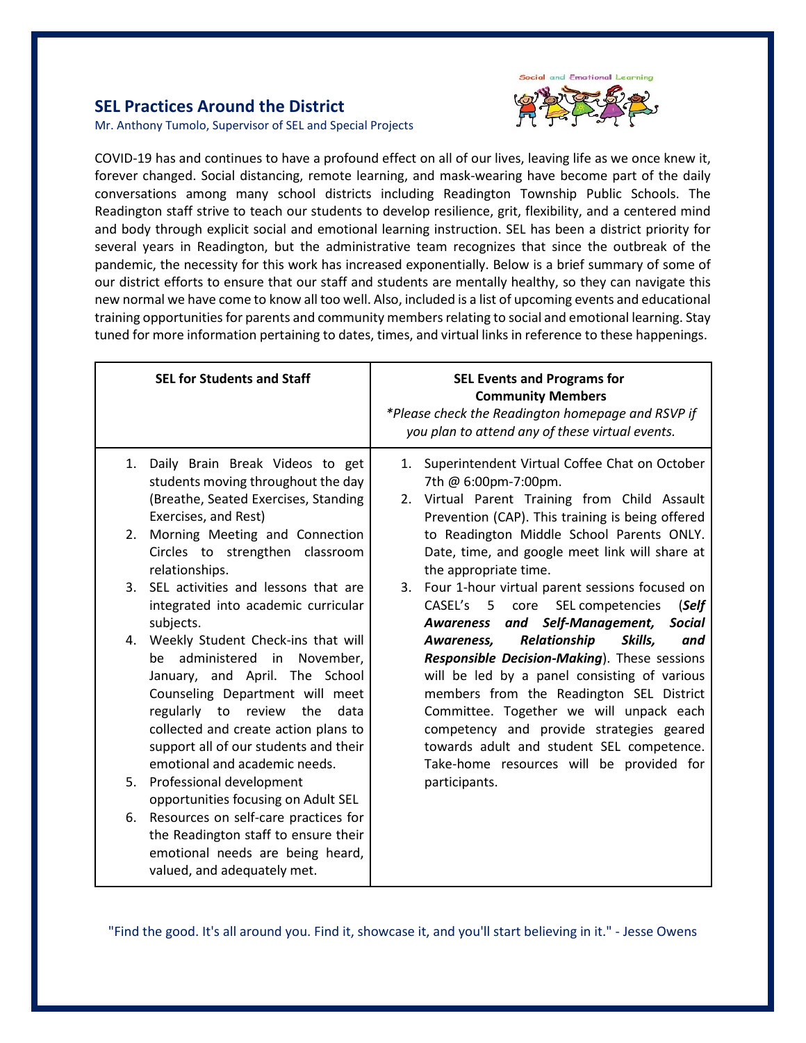

### **SEL Practices Around the District**

Mr. Anthony Tumolo, Supervisor of SEL and Special Projects

COVID-19 has and continues to have a profound effect on all of our lives, leaving life as we once knew it, forever changed. Social distancing, remote learning, and mask-wearing have become part of the daily conversations among many school districts including Readington Township Public Schools. The Readington staff strive to teach our students to develop resilience, grit, flexibility, and a centered mind and body through explicit social and emotional learning instruction. SEL has been a district priority for several years in Readington, but the administrative team recognizes that since the outbreak of the pandemic, the necessity for this work has increased exponentially. Below is a brief summary of some of our district efforts to ensure that our staff and students are mentally healthy, so they can navigate this new normal we have come to know all too well. Also, included is a list of upcoming events and educational training opportunities for parents and community members relating to social and emotional learning. Stay tuned for more information pertaining to dates, times, and virtual links in reference to these happenings.

|    | <b>SEL for Students and Staff</b>                                                                                                                                                                                                                                                                  |          | <b>SEL Events and Programs for</b><br><b>Community Members</b><br>*Please check the Readington homepage and RSVP if<br>you plan to attend any of these virtual events.                                                                                                                                                                                                   |
|----|----------------------------------------------------------------------------------------------------------------------------------------------------------------------------------------------------------------------------------------------------------------------------------------------------|----------|--------------------------------------------------------------------------------------------------------------------------------------------------------------------------------------------------------------------------------------------------------------------------------------------------------------------------------------------------------------------------|
| 1. | Daily Brain Break Videos to get<br>students moving throughout the day<br>(Breathe, Seated Exercises, Standing<br>Exercises, and Rest)                                                                                                                                                              | 1.<br>2. | Superintendent Virtual Coffee Chat on October<br>7th @ 6:00pm-7:00pm.<br>Virtual Parent Training from Child Assault<br>Prevention (CAP). This training is being offered                                                                                                                                                                                                  |
| 2. | Morning Meeting and Connection<br>Circles to strengthen classroom<br>relationships.                                                                                                                                                                                                                |          | to Readington Middle School Parents ONLY.<br>Date, time, and google meet link will share at<br>the appropriate time.                                                                                                                                                                                                                                                     |
| 3. | SEL activities and lessons that are<br>integrated into academic curricular<br>subjects.                                                                                                                                                                                                            | 3.       | Four 1-hour virtual parent sessions focused on<br>(Self<br>CASEL's 5 core<br>SEL competencies<br>and Self-Management,<br><b>Social</b><br>Awareness                                                                                                                                                                                                                      |
| 4. | Weekly Student Check-ins that will<br>be administered in November,<br>January, and April. The School<br>Counseling Department will meet<br>regularly to<br>the<br>review<br>data<br>collected and create action plans to<br>support all of our students and their<br>emotional and academic needs. |          | Relationship<br>Skills,<br>Awareness,<br>and<br>Responsible Decision-Making). These sessions<br>will be led by a panel consisting of various<br>members from the Readington SEL District<br>Committee. Together we will unpack each<br>competency and provide strategies geared<br>towards adult and student SEL competence.<br>Take-home resources will be provided for |
| 5. | Professional development<br>opportunities focusing on Adult SEL                                                                                                                                                                                                                                    |          | participants.                                                                                                                                                                                                                                                                                                                                                            |
| 6. | Resources on self-care practices for<br>the Readington staff to ensure their<br>emotional needs are being heard,<br>valued, and adequately met.                                                                                                                                                    |          |                                                                                                                                                                                                                                                                                                                                                                          |

"Find the good. It's all around you. Find it, showcase it, and you'll start believing in it." - Jesse Owens